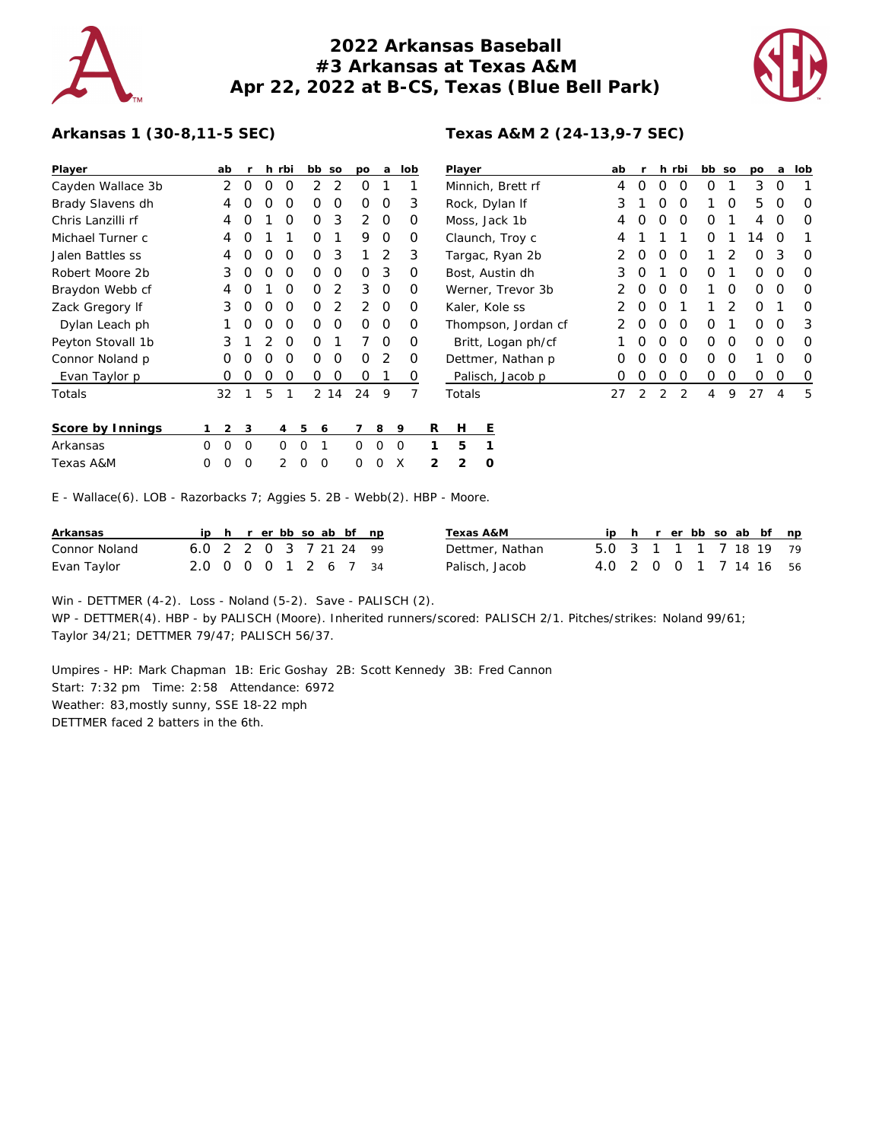

## **2022 Arkansas Baseball #3 Arkansas at Texas A&M Apr 22, 2022 at B-CS, Texas (Blue Bell Park)**



## **Arkansas 1 (30-8,11-5 SEC)**

| Player            |   | ab             | r           |          | h rbi          | bb so                         |      | po                                              | a           |             | lob      |   | Player |         |                     | ab |          |          | h rbi    | bb so       |          | po       | a        | lob      |
|-------------------|---|----------------|-------------|----------|----------------|-------------------------------|------|-------------------------------------------------|-------------|-------------|----------|---|--------|---------|---------------------|----|----------|----------|----------|-------------|----------|----------|----------|----------|
| Cayden Wallace 3b |   | 2              | $\circ$     | $\Omega$ | 0              | $\overline{2}$                | 2    | $\Omega$                                        |             |             |          |   |        |         | Minnich, Brett rf   | 4  | $\Omega$ | $\Omega$ | $\Omega$ | 0           |          | 3        | 0        |          |
| Brady Slavens dh  |   | 4              | O           | Ο        | O              | 0                             | O    | $\Omega$                                        | 0           |             | 3        |   |        |         | Rock, Dylan If      | 3  |          | O        | O        |             | 0        | 5        | 0        | $\Omega$ |
| Chris Lanzilli rf |   | 4              | $\Omega$    |          | O              | 0                             | 3    | 2                                               | $\Omega$    |             | $\Omega$ |   |        |         | Moss, Jack 1b       | 4  | O        | $\Omega$ | $\Omega$ | 0           |          | 4        | $\Omega$ | $\Omega$ |
| Michael Turner c  |   | 4              | $\Omega$    |          |                | 0                             |      | 9                                               | 0           |             | 0        |   |        |         | Claunch, Troy c     | 4  |          |          |          | 0           |          | 14       | $\Omega$ |          |
| Jalen Battles ss  |   | 4              | O           | O        | $\Omega$       | 0                             | 3    |                                                 | 2           |             | 3        |   |        |         | Targac, Ryan 2b     |    | 0        | 0        | 0        |             | 2        | 0        | 3        | 0        |
| Robert Moore 2b   |   | 3              | $\Omega$    | O        | $\Omega$       | O                             | 0    | $\Omega$                                        | 3           |             | $\Omega$ |   |        |         | Bost, Austin dh     | 3  | O        |          | $\Omega$ | 0           |          | 0        | 0        | 0        |
| Braydon Webb cf   |   | 4              | O           |          | $\Omega$       | 0                             | 2    | 3                                               | $\circ$     |             | 0        |   |        |         | Werner, Trevor 3b   |    | $\Omega$ | 0        | $\Omega$ |             | 0        | $\Omega$ | 0        | $\Omega$ |
| Zack Gregory If   |   | 3              | $\Omega$    | O        | 0              | $\Omega$                      | 2    | 2                                               | $\circ$     |             | 0        |   |        |         | Kaler, Kole ss      | 2  | $\Omega$ | 0        |          |             | 2        | 0        |          | $\Omega$ |
| Dylan Leach ph    |   |                | 0           | 0        | 0              | 0                             | 0    | $\Omega$                                        | 0           |             | $\Omega$ |   |        |         | Thompson, Jordan cf |    | 0        | 0        | $\circ$  | 0           |          | 0        | 0        | 3        |
| Peyton Stovall 1b |   | 3              |             |          | 0              | 0                             |      |                                                 | 0           |             | 0        |   |        |         | Britt, Logan ph/cf  |    |          | O        | 0        | $\mathbf 0$ | 0        | 0        | 0        | $\circ$  |
| Connor Noland p   |   | Ω              |             | ი        | O              | 0                             | O    | $\Omega$                                        | 2           |             | 0        |   |        |         | Dettmer, Nathan p   | O  |          | O        | O        | O           | $\Omega$ |          | O        | $\Omega$ |
| Evan Taylor p     |   | O              | O           | O        | 0              | 0                             | O    | 0                                               |             |             | 0        |   |        |         | Palisch, Jacob p    | Ο  | O        | 0        | $\Omega$ | 0           | 0        | 0        | 0        | 0        |
| Totals            |   | 32             | 1           | 5        | 1              |                               | 2 14 | 24                                              | 9           |             | 7        |   | Totals |         |                     | 27 | 2        | 2        | 2        | 4           | 9        | 27       | 4        | 5        |
| Score by Innings  |   | $\overline{2}$ | 3           |          | 4              | 5<br>6                        |      |                                                 | 8           | 9           |          | R | Н      |         | Ε                   |    |          |          |          |             |          |          |          |          |
| Arkansas          | 0 | 0              | $\mathbf 0$ |          | $\circ$        | $\overline{0}$                |      | 0                                               | $\mathbf 0$ | $\mathbf 0$ |          |   | 5      |         |                     |    |          |          |          |             |          |          |          |          |
| Texas A&M         | O | 0              | 0           |          | $\overline{2}$ | $\mathbf 0$<br>$\overline{0}$ |      | 0                                               | 0           | X           |          | 2 | 2      | $\circ$ |                     |    |          |          |          |             |          |          |          |          |
| $\cdots$          |   |                |             |          |                |                               |      | $\tau$ and $\tau$ is $\tau$ is $\tau$ is $\tau$ |             |             |          |   |        |         |                     |    |          |          |          |             |          |          |          |          |

E - Wallace(6). LOB - Razorbacks 7; Aggies 5. 2B - Webb(2). HBP - Moore.

| Arkansas      | iph rerbbsoab bf np    |  |  |  |  | Texas A&M       |                        |  |  |  | ip h r er bb so ab bf np |  |
|---------------|------------------------|--|--|--|--|-----------------|------------------------|--|--|--|--------------------------|--|
| Connor Noland | 6.0 2 2 0 3 7 21 24 99 |  |  |  |  | Dettmer, Nathan | 5.0 3 1 1 1 7 18 19 79 |  |  |  |                          |  |
| Evan Taylor   | 2.0 0 0 0 1 2 6 7 34   |  |  |  |  | Palisch, Jacob  | 4.0 2 0 0 1 7 14 16 56 |  |  |  |                          |  |

Win - DETTMER (4-2). Loss - Noland (5-2). Save - PALISCH (2). WP - DETTMER(4). HBP - by PALISCH (Moore). Inherited runners/scored: PALISCH 2/1. Pitches/strikes: Noland 99/61; Taylor 34/21; DETTMER 79/47; PALISCH 56/37.

Umpires - HP: Mark Chapman 1B: Eric Goshay 2B: Scott Kennedy 3B: Fred Cannon Start: 7:32 pm Time: 2:58 Attendance: 6972 Weather: 83,mostly sunny, SSE 18-22 mph DETTMER faced 2 batters in the 6th.

## **Texas A&M 2 (24-13,9-7 SEC)**